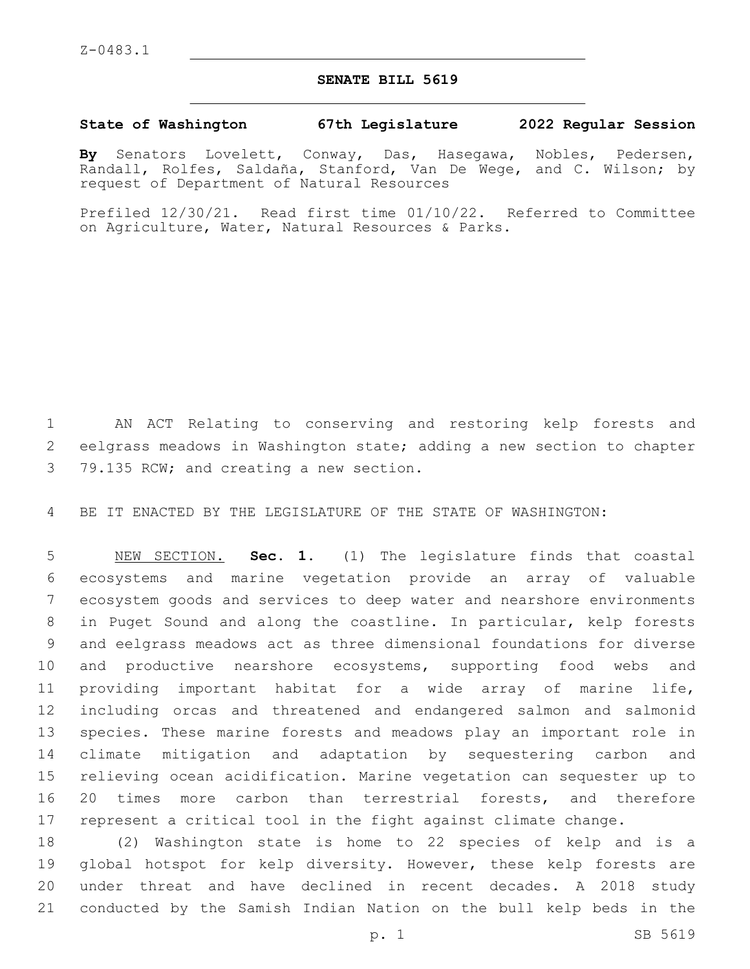## **SENATE BILL 5619**

## **State of Washington 67th Legislature 2022 Regular Session**

**By** Senators Lovelett, Conway, Das, Hasegawa, Nobles, Pedersen, Randall, Rolfes, Saldaña, Stanford, Van De Wege, and C. Wilson; by request of Department of Natural Resources

Prefiled 12/30/21. Read first time 01/10/22. Referred to Committee on Agriculture, Water, Natural Resources & Parks.

 AN ACT Relating to conserving and restoring kelp forests and eelgrass meadows in Washington state; adding a new section to chapter 3 79.135 RCW; and creating a new section.

BE IT ENACTED BY THE LEGISLATURE OF THE STATE OF WASHINGTON:

 NEW SECTION. **Sec. 1.** (1) The legislature finds that coastal ecosystems and marine vegetation provide an array of valuable ecosystem goods and services to deep water and nearshore environments in Puget Sound and along the coastline. In particular, kelp forests and eelgrass meadows act as three dimensional foundations for diverse and productive nearshore ecosystems, supporting food webs and providing important habitat for a wide array of marine life, including orcas and threatened and endangered salmon and salmonid species. These marine forests and meadows play an important role in climate mitigation and adaptation by sequestering carbon and relieving ocean acidification. Marine vegetation can sequester up to 20 times more carbon than terrestrial forests, and therefore represent a critical tool in the fight against climate change.

 (2) Washington state is home to 22 species of kelp and is a 19 global hotspot for kelp diversity. However, these kelp forests are under threat and have declined in recent decades. A 2018 study conducted by the Samish Indian Nation on the bull kelp beds in the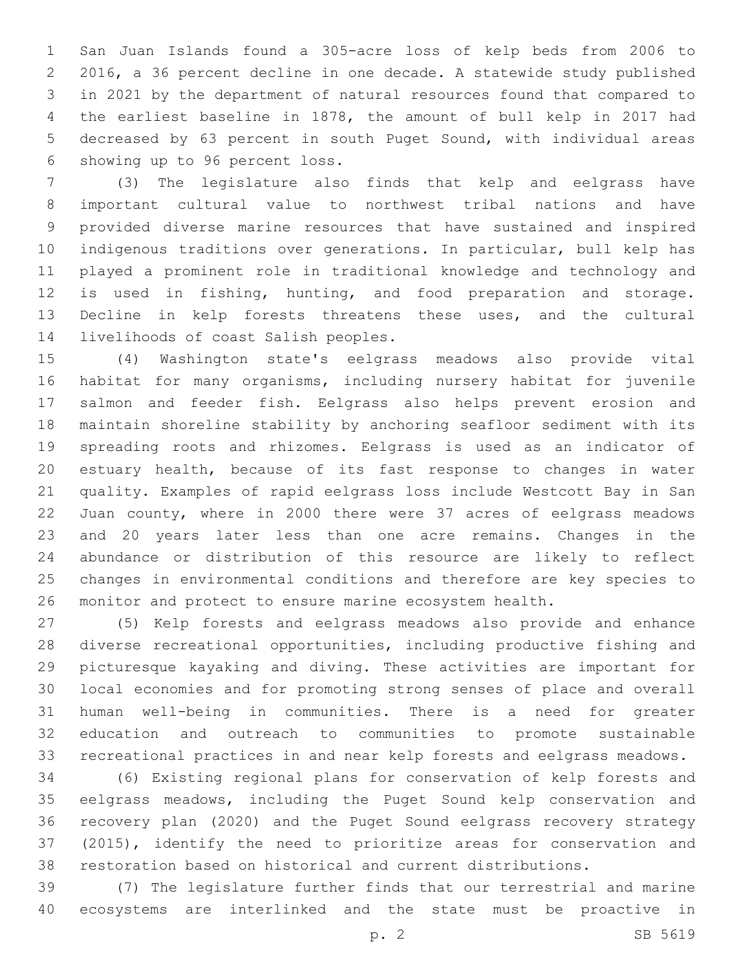San Juan Islands found a 305-acre loss of kelp beds from 2006 to 2016, a 36 percent decline in one decade. A statewide study published in 2021 by the department of natural resources found that compared to the earliest baseline in 1878, the amount of bull kelp in 2017 had decreased by 63 percent in south Puget Sound, with individual areas 6 showing up to 96 percent loss.

 (3) The legislature also finds that kelp and eelgrass have important cultural value to northwest tribal nations and have provided diverse marine resources that have sustained and inspired indigenous traditions over generations. In particular, bull kelp has played a prominent role in traditional knowledge and technology and is used in fishing, hunting, and food preparation and storage. Decline in kelp forests threatens these uses, and the cultural 14 livelihoods of coast Salish peoples.

 (4) Washington state's eelgrass meadows also provide vital habitat for many organisms, including nursery habitat for juvenile salmon and feeder fish. Eelgrass also helps prevent erosion and maintain shoreline stability by anchoring seafloor sediment with its spreading roots and rhizomes. Eelgrass is used as an indicator of estuary health, because of its fast response to changes in water quality. Examples of rapid eelgrass loss include Westcott Bay in San Juan county, where in 2000 there were 37 acres of eelgrass meadows and 20 years later less than one acre remains. Changes in the abundance or distribution of this resource are likely to reflect changes in environmental conditions and therefore are key species to monitor and protect to ensure marine ecosystem health.

 (5) Kelp forests and eelgrass meadows also provide and enhance diverse recreational opportunities, including productive fishing and picturesque kayaking and diving. These activities are important for local economies and for promoting strong senses of place and overall human well-being in communities. There is a need for greater education and outreach to communities to promote sustainable recreational practices in and near kelp forests and eelgrass meadows.

 (6) Existing regional plans for conservation of kelp forests and eelgrass meadows, including the Puget Sound kelp conservation and recovery plan (2020) and the Puget Sound eelgrass recovery strategy (2015), identify the need to prioritize areas for conservation and restoration based on historical and current distributions.

 (7) The legislature further finds that our terrestrial and marine ecosystems are interlinked and the state must be proactive in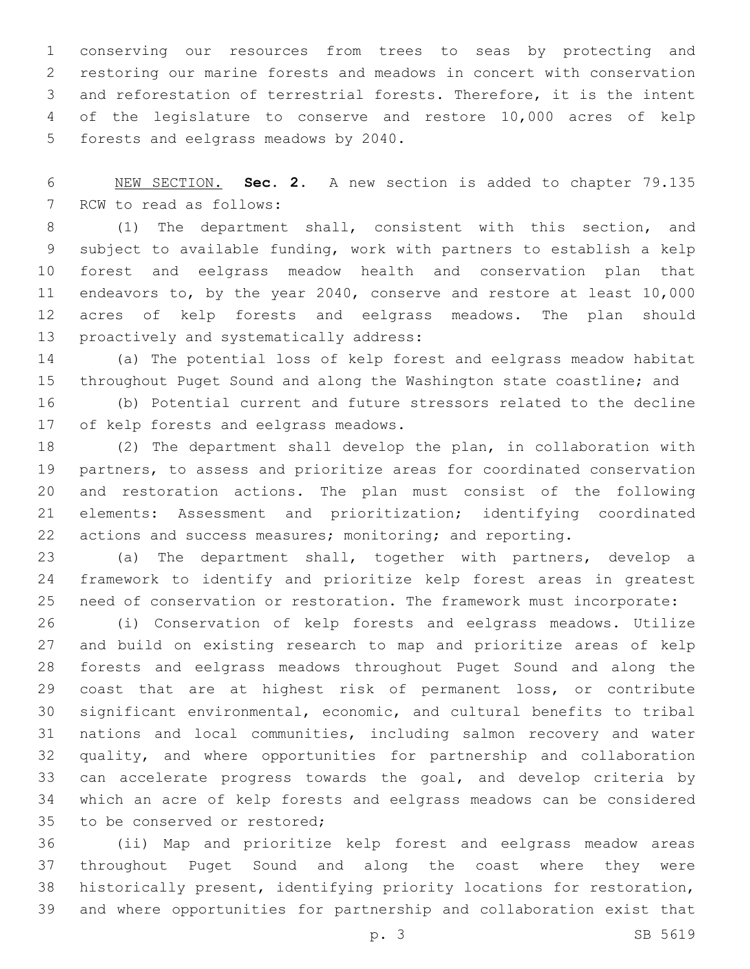conserving our resources from trees to seas by protecting and restoring our marine forests and meadows in concert with conservation and reforestation of terrestrial forests. Therefore, it is the intent of the legislature to conserve and restore 10,000 acres of kelp 5 forests and eelgrass meadows by 2040.

 NEW SECTION. **Sec. 2.** A new section is added to chapter 79.135 7 RCW to read as follows:

 (1) The department shall, consistent with this section, and subject to available funding, work with partners to establish a kelp forest and eelgrass meadow health and conservation plan that endeavors to, by the year 2040, conserve and restore at least 10,000 acres of kelp forests and eelgrass meadows. The plan should 13 proactively and systematically address:

 (a) The potential loss of kelp forest and eelgrass meadow habitat throughout Puget Sound and along the Washington state coastline; and

 (b) Potential current and future stressors related to the decline 17 of kelp forests and eelgrass meadows.

 (2) The department shall develop the plan, in collaboration with partners, to assess and prioritize areas for coordinated conservation and restoration actions. The plan must consist of the following elements: Assessment and prioritization; identifying coordinated actions and success measures; monitoring; and reporting.

 (a) The department shall, together with partners, develop a framework to identify and prioritize kelp forest areas in greatest need of conservation or restoration. The framework must incorporate:

 (i) Conservation of kelp forests and eelgrass meadows. Utilize and build on existing research to map and prioritize areas of kelp forests and eelgrass meadows throughout Puget Sound and along the coast that are at highest risk of permanent loss, or contribute significant environmental, economic, and cultural benefits to tribal nations and local communities, including salmon recovery and water quality, and where opportunities for partnership and collaboration can accelerate progress towards the goal, and develop criteria by which an acre of kelp forests and eelgrass meadows can be considered 35 to be conserved or restored;

 (ii) Map and prioritize kelp forest and eelgrass meadow areas throughout Puget Sound and along the coast where they were historically present, identifying priority locations for restoration, and where opportunities for partnership and collaboration exist that

p. 3 SB 5619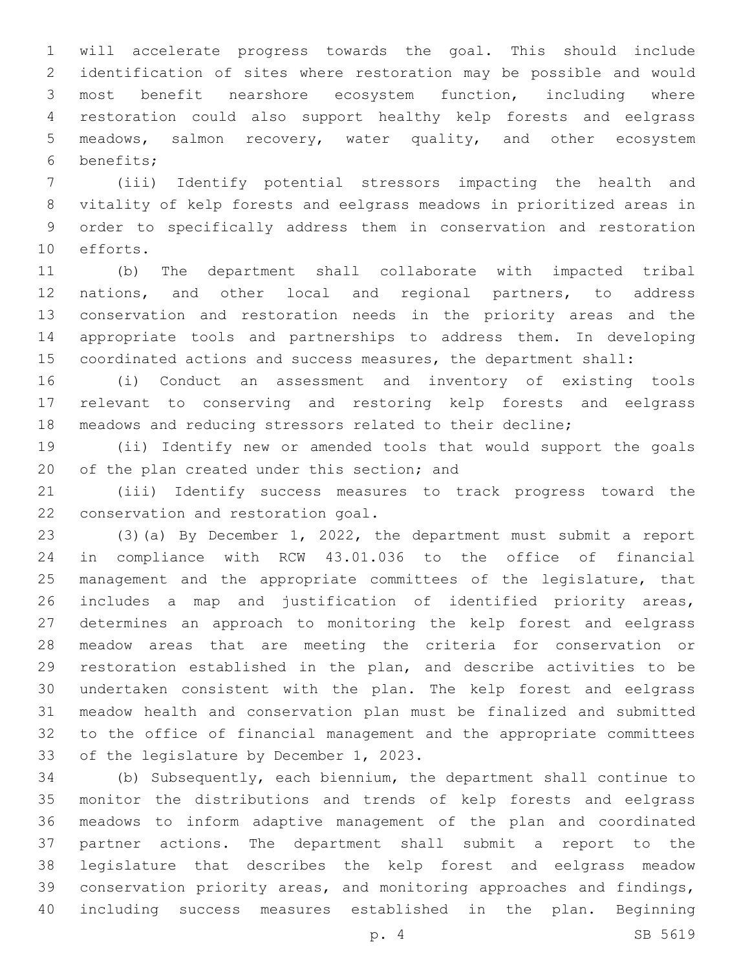will accelerate progress towards the goal. This should include identification of sites where restoration may be possible and would most benefit nearshore ecosystem function, including where restoration could also support healthy kelp forests and eelgrass meadows, salmon recovery, water quality, and other ecosystem benefits;6

 (iii) Identify potential stressors impacting the health and vitality of kelp forests and eelgrass meadows in prioritized areas in order to specifically address them in conservation and restoration 10 efforts.

 (b) The department shall collaborate with impacted tribal nations, and other local and regional partners, to address conservation and restoration needs in the priority areas and the appropriate tools and partnerships to address them. In developing coordinated actions and success measures, the department shall:

 (i) Conduct an assessment and inventory of existing tools relevant to conserving and restoring kelp forests and eelgrass meadows and reducing stressors related to their decline;

 (ii) Identify new or amended tools that would support the goals 20 of the plan created under this section; and

 (iii) Identify success measures to track progress toward the 22 conservation and restoration goal.

 (3)(a) By December 1, 2022, the department must submit a report in compliance with RCW 43.01.036 to the office of financial 25 management and the appropriate committees of the legislature, that includes a map and justification of identified priority areas, determines an approach to monitoring the kelp forest and eelgrass meadow areas that are meeting the criteria for conservation or restoration established in the plan, and describe activities to be undertaken consistent with the plan. The kelp forest and eelgrass meadow health and conservation plan must be finalized and submitted to the office of financial management and the appropriate committees 33 of the legislature by December 1, 2023.

 (b) Subsequently, each biennium, the department shall continue to monitor the distributions and trends of kelp forests and eelgrass meadows to inform adaptive management of the plan and coordinated partner actions. The department shall submit a report to the legislature that describes the kelp forest and eelgrass meadow conservation priority areas, and monitoring approaches and findings, including success measures established in the plan. Beginning

p. 4 SB 5619